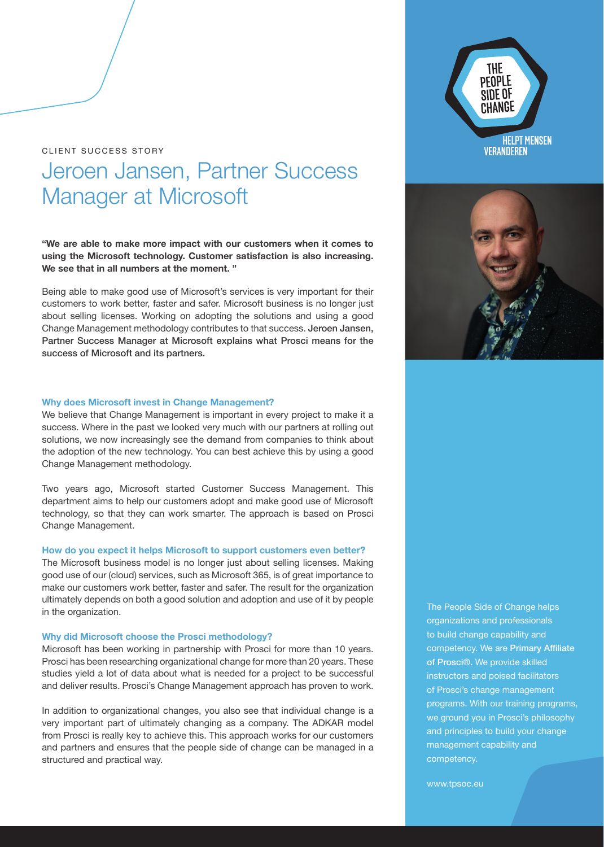CLIENT SUCCESS STORY

# Jeroen Jansen, Partner Success Manager at Microsoft

**"We are able to make more impact with our customers when it comes to using the Microsoft technology. Customer satisfaction is also increasing. We see that in all numbers at the moment. "**

Being able to make good use of Microsoft's services is very important for their customers to work better, faster and safer. Microsoft business is no longer just about selling licenses. Working on adopting the solutions and using a good Change Management methodology contributes to that success. Jeroen Jansen, Partner Success Manager at Microsoft explains what Prosci means for the success of Microsoft and its partners.

## **Why does Microsoft invest in Change Management?**

We believe that Change Management is important in every project to make it a success. Where in the past we looked very much with our partners at rolling out solutions, we now increasingly see the demand from companies to think about the adoption of the new technology. You can best achieve this by using a good Change Management methodology.

Two years ago, Microsoft started Customer Success Management. This department aims to help our customers adopt and make good use of Microsoft technology, so that they can work smarter. The approach is based on Prosci Change Management.

#### **How do you expect it helps Microsoft to support customers even better?**

The Microsoft business model is no longer just about selling licenses. Making good use of our (cloud) services, such as Microsoft 365, is of great importance to make our customers work better, faster and safer. The result for the organization ultimately depends on both a good solution and adoption and use of it by people in the organization.

## **Why did Microsoft choose the Prosci methodology?**

Microsoft has been working in partnership with Prosci for more than 10 years. Prosci has been researching organizational change for more than 20 years. These studies yield a lot of data about what is needed for a project to be successful and deliver results. Prosci's Change Management approach has proven to work.

In addition to organizational changes, you also see that individual change is a very important part of ultimately changing as a company. The ADKAR model from Prosci is really key to achieve this. This approach works for our customers and partners and ensures that the people side of change can be managed in a structured and practical way.

The People Side of Change helps organizations and professionals to build change capability and competency. We are Primary Affiliate of Prosci®. We provide skilled instructors and poised facilitators of Prosci's change management programs. With our training programs, we ground you in Prosci's philosophy and principles to build your change management capability and competency.

www.tpsoc.eu